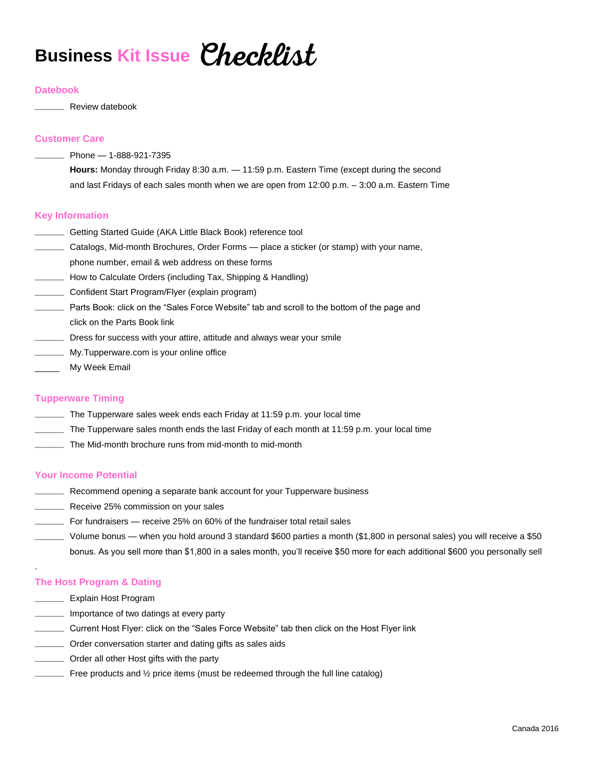## **Business Kit Issue**

### **Datebook**

\_\_\_\_\_\_\_\_\_ Review datebook

## **Customer Care**

 $\_$  Phone  $-$  1-888-921-7395

**Hours:** Monday through Friday 8:30 a.m. — 11:59 p.m. Eastern Time (except during the second and last Fridays of each sales month when we are open from 12:00 p.m. – 3:00 a.m. Eastern Time

## **Key Information**

- \_\_\_\_\_\_\_\_\_ Getting Started Guide (AKA Little Black Book) reference tool
- \_\_\_\_\_\_\_\_\_ Catalogs, Mid-month Brochures, Order Forms place a sticker (or stamp) with your name,
- phone number, email & web address on these forms
- \_\_\_\_\_\_\_\_\_ How to Calculate Orders (including Tax, Shipping & Handling)
- \_\_\_\_\_\_\_\_\_ Confident Start Program/Flyer (explain program)
- \_\_\_\_\_\_\_\_\_ Parts Book: click on the "Sales Force Website" tab and scroll to the bottom of the page and click on the Parts Book link
- \_\_\_\_\_\_\_\_\_ Dress for success with your attire, attitude and always wear your smile
- \_\_\_\_\_\_\_\_\_ My.Tupperware.com is your online office
- \_\_\_\_\_ My Week Email

### **Tupperware Timing**

- \_\_\_\_\_\_\_\_\_ The Tupperware sales week ends each Friday at 11:59 p.m. your local time
- \_\_\_\_\_\_\_\_\_ The Tupperware sales month ends the last Friday of each month at 11:59 p.m. your local time
- \_\_\_\_\_\_\_\_\_ The Mid-month brochure runs from mid-month to mid-month

### **Your Income Potential**

- **EXECOMMENTS** a separate bank account for your Tupperware business
- \_\_\_\_\_\_\_\_\_ Receive 25% commission on your sales
- \_\_\_\_\_\_\_\_\_ For fundraisers receive 25% on 60% of the fundraiser total retail sales
- \_\_\_\_\_\_\_\_\_ Volume bonus when you hold around 3 standard \$600 parties a month (\$1,800 in personal sales) you will receive a \$50 bonus. As you sell more than \$1,800 in a sales month, you'll receive \$50 more for each additional \$600 you personally sell

## **The Host Program & Dating**

\_\_\_\_\_\_\_\_\_ Explain Host Program

.

- \_\_\_\_\_\_\_\_\_ Importance of two datings at every party
- \_\_\_\_\_\_\_\_\_ Current Host Flyer: click on the "Sales Force Website" tab then click on the Host Flyer link
- \_\_\_\_\_\_\_\_\_ Order conversation starter and dating gifts as sales aids
- \_\_\_\_\_\_\_\_\_ Order all other Host gifts with the party
- $\equiv$  Free products and  $\frac{1}{2}$  price items (must be redeemed through the full line catalog)